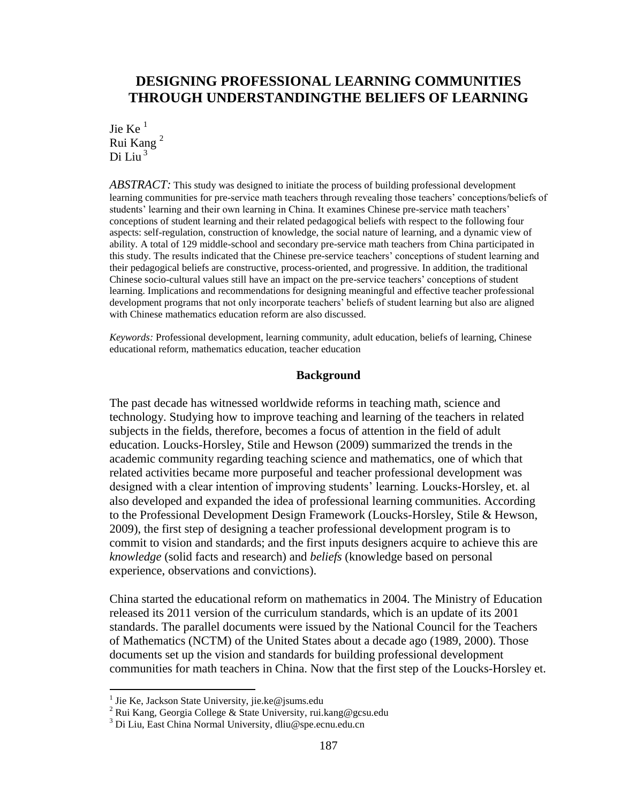# **DESIGNING PROFESSIONAL LEARNING COMMUNITIES THROUGH UNDERSTANDINGTHE BELIEFS OF LEARNING**

Jie Ke $<sup>1</sup>$ </sup> Rui Kang <sup>2</sup> Di Liu $<sup>3</sup>$ </sup>

*ABSTRACT:* This study was designed to initiate the process of building professional development learning communities for pre-service math teachers through revealing those teachers' conceptions/beliefs of students' learning and their own learning in China. It examines Chinese pre-service math teachers' conceptions of student learning and their related pedagogical beliefs with respect to the following four aspects: self-regulation, construction of knowledge, the social nature of learning, and a dynamic view of ability. A total of 129 middle-school and secondary pre-service math teachers from China participated in this study. The results indicated that the Chinese pre-service teachers' conceptions of student learning and their pedagogical beliefs are constructive, process-oriented, and progressive. In addition, the traditional Chinese socio-cultural values still have an impact on the pre-service teachers' conceptions of student learning. Implications and recommendations for designing meaningful and effective teacher professional development programs that not only incorporate teachers' beliefs of student learning but also are aligned with Chinese mathematics education reform are also discussed.

*Keywords:* Professional development, learning community, adult education, beliefs of learning, Chinese educational reform, mathematics education, teacher education

## **Background**

The past decade has witnessed worldwide reforms in teaching math, science and technology. Studying how to improve teaching and learning of the teachers in related subjects in the fields, therefore, becomes a focus of attention in the field of adult education. Loucks-Horsley, Stile and Hewson (2009) summarized the trends in the academic community regarding teaching science and mathematics, one of which that related activities became more purposeful and teacher professional development was designed with a clear intention of improving students' learning. Loucks-Horsley, et. al also developed and expanded the idea of professional learning communities. According to the Professional Development Design Framework (Loucks-Horsley, Stile & Hewson, 2009), the first step of designing a teacher professional development program is to commit to vision and standards; and the first inputs designers acquire to achieve this are *knowledge* (solid facts and research) and *beliefs* (knowledge based on personal experience, observations and convictions).

China started the educational reform on mathematics in 2004. The Ministry of Education released its 2011 version of the curriculum standards, which is an update of its 2001 standards. The parallel documents were issued by the National Council for the Teachers of Mathematics (NCTM) of the United States about a decade ago (1989, 2000). Those documents set up the vision and standards for building professional development communities for math teachers in China. Now that the first step of the Loucks-Horsley et.

 1 Jie Ke, Jackson State University, jie.ke@jsums.edu

<sup>2</sup> Rui Kang, Georgia College & State University, rui.kang@gcsu.edu

<sup>3</sup> Di Liu, East China Normal University, dliu@spe.ecnu.edu.cn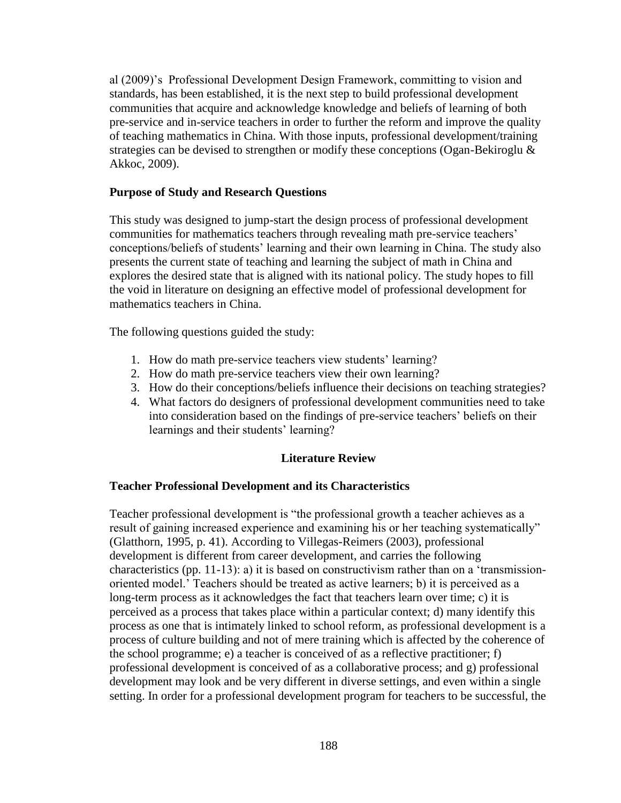al (2009)'s Professional Development Design Framework, committing to vision and standards, has been established, it is the next step to build professional development communities that acquire and acknowledge knowledge and beliefs of learning of both pre-service and in-service teachers in order to further the reform and improve the quality of teaching mathematics in China. With those inputs, professional development/training strategies can be devised to strengthen or modify these conceptions (Ogan-Bekiroglu & Akkoc, 2009).

# **Purpose of Study and Research Questions**

This study was designed to jump-start the design process of professional development communities for mathematics teachers through revealing math pre-service teachers' conceptions/beliefs of students' learning and their own learning in China. The study also presents the current state of teaching and learning the subject of math in China and explores the desired state that is aligned with its national policy. The study hopes to fill the void in literature on designing an effective model of professional development for mathematics teachers in China.

The following questions guided the study:

- 1. How do math pre-service teachers view students' learning?
- 2. How do math pre-service teachers view their own learning?
- 3. How do their conceptions/beliefs influence their decisions on teaching strategies?
- 4. What factors do designers of professional development communities need to take into consideration based on the findings of pre-service teachers' beliefs on their learnings and their students' learning?

# **Literature Review**

## **Teacher Professional Development and its Characteristics**

Teacher professional development is "the professional growth a teacher achieves as a result of gaining increased experience and examining his or her teaching systematically" (Glatthorn, 1995, p. 41). According to Villegas-Reimers (2003), professional development is different from career development, and carries the following characteristics (pp. 11-13): a) it is based on constructivism rather than on a 'transmissionoriented model.' Teachers should be treated as active learners; b) it is perceived as a long-term process as it acknowledges the fact that teachers learn over time; c) it is perceived as a process that takes place within a particular context; d) many identify this process as one that is intimately linked to school reform, as professional development is a process of culture building and not of mere training which is affected by the coherence of the school programme; e) a teacher is conceived of as a reflective practitioner; f) professional development is conceived of as a collaborative process; and g) professional development may look and be very different in diverse settings, and even within a single setting. In order for a professional development program for teachers to be successful, the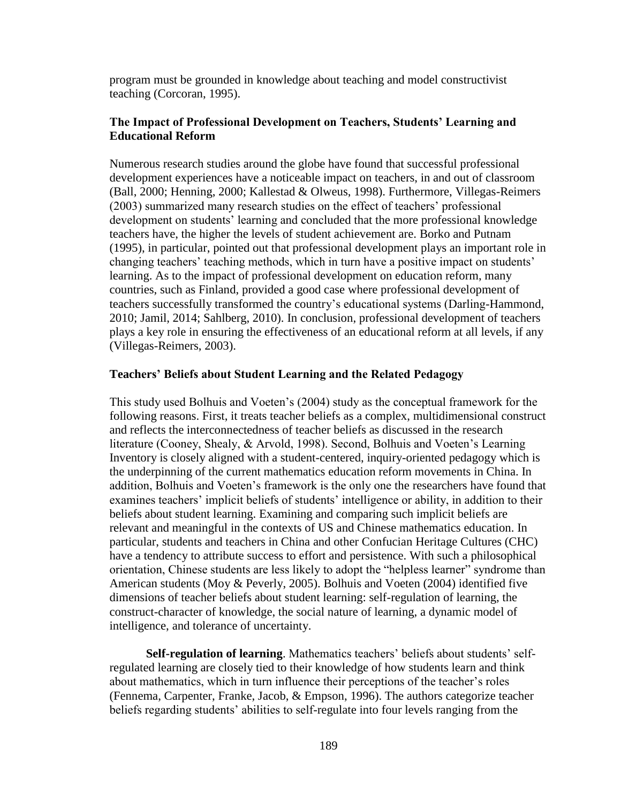program must be grounded in knowledge about teaching and model constructivist teaching (Corcoran, 1995).

# **The Impact of Professional Development on Teachers, Students' Learning and Educational Reform**

Numerous research studies around the globe have found that successful professional development experiences have a noticeable impact on teachers, in and out of classroom (Ball, 2000; Henning, 2000; Kallestad & Olweus, 1998). Furthermore, Villegas-Reimers (2003) summarized many research studies on the effect of teachers' professional development on students' learning and concluded that the more professional knowledge teachers have, the higher the levels of student achievement are. Borko and Putnam (1995), in particular, pointed out that professional development plays an important role in changing teachers' teaching methods, which in turn have a positive impact on students' learning. As to the impact of professional development on education reform, many countries, such as Finland, provided a good case where professional development of teachers successfully transformed the country's educational systems (Darling-Hammond, 2010; Jamil, 2014; Sahlberg, 2010). In conclusion, professional development of teachers plays a key role in ensuring the effectiveness of an educational reform at all levels, if any (Villegas-Reimers, 2003).

## **Teachers' Beliefs about Student Learning and the Related Pedagogy**

This study used Bolhuis and Voeten's (2004) study as the conceptual framework for the following reasons. First, it treats teacher beliefs as a complex, multidimensional construct and reflects the interconnectedness of teacher beliefs as discussed in the research literature (Cooney, Shealy, & Arvold, 1998). Second, Bolhuis and Voeten's Learning Inventory is closely aligned with a student-centered, inquiry-oriented pedagogy which is the underpinning of the current mathematics education reform movements in China. In addition, Bolhuis and Voeten's framework is the only one the researchers have found that examines teachers' implicit beliefs of students' intelligence or ability, in addition to their beliefs about student learning. Examining and comparing such implicit beliefs are relevant and meaningful in the contexts of US and Chinese mathematics education. In particular, students and teachers in China and other Confucian Heritage Cultures (CHC) have a tendency to attribute success to effort and persistence. With such a philosophical orientation, Chinese students are less likely to adopt the "helpless learner" syndrome than American students (Moy & Peverly, 2005). Bolhuis and Voeten (2004) identified five dimensions of teacher beliefs about student learning: self-regulation of learning, the construct-character of knowledge, the social nature of learning, a dynamic model of intelligence, and tolerance of uncertainty.

**Self-regulation of learning**. Mathematics teachers' beliefs about students' selfregulated learning are closely tied to their knowledge of how students learn and think about mathematics, which in turn influence their perceptions of the teacher's roles (Fennema, Carpenter, Franke, Jacob, & Empson, 1996). The authors categorize teacher beliefs regarding students' abilities to self-regulate into four levels ranging from the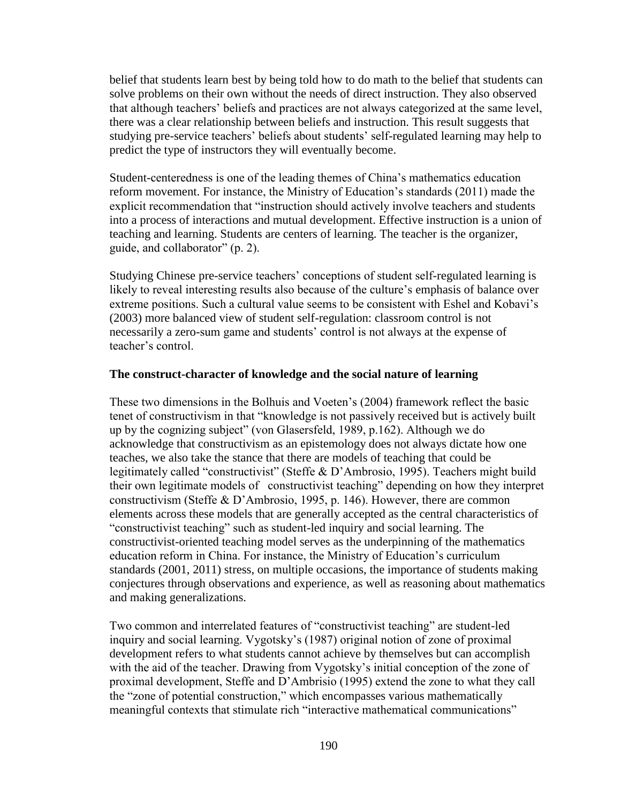belief that students learn best by being told how to do math to the belief that students can solve problems on their own without the needs of direct instruction. They also observed that although teachers' beliefs and practices are not always categorized at the same level, there was a clear relationship between beliefs and instruction. This result suggests that studying pre-service teachers' beliefs about students' self-regulated learning may help to predict the type of instructors they will eventually become.

Student-centeredness is one of the leading themes of China's mathematics education reform movement. For instance, the Ministry of Education's standards (2011) made the explicit recommendation that "instruction should actively involve teachers and students into a process of interactions and mutual development. Effective instruction is a union of teaching and learning. Students are centers of learning. The teacher is the organizer, guide, and collaborator" (p. 2).

Studying Chinese pre-service teachers' conceptions of student self-regulated learning is likely to reveal interesting results also because of the culture's emphasis of balance over extreme positions. Such a cultural value seems to be consistent with Eshel and Kobavi's (2003) more balanced view of student self-regulation: classroom control is not necessarily a zero-sum game and students' control is not always at the expense of teacher's control.

## **The construct-character of knowledge and the social nature of learning**

These two dimensions in the Bolhuis and Voeten's (2004) framework reflect the basic tenet of constructivism in that "knowledge is not passively received but is actively built up by the cognizing subject" (von Glasersfeld, 1989, p.162). Although we do acknowledge that constructivism as an epistemology does not always dictate how one teaches, we also take the stance that there are models of teaching that could be legitimately called "constructivist" (Steffe & D'Ambrosio, 1995). Teachers might build their own legitimate models of constructivist teaching" depending on how they interpret constructivism (Steffe & D'Ambrosio, 1995, p. 146). However, there are common elements across these models that are generally accepted as the central characteristics of "constructivist teaching" such as student-led inquiry and social learning. The constructivist-oriented teaching model serves as the underpinning of the mathematics education reform in China. For instance, the Ministry of Education's curriculum standards (2001, 2011) stress, on multiple occasions, the importance of students making conjectures through observations and experience, as well as reasoning about mathematics and making generalizations.

Two common and interrelated features of "constructivist teaching" are student-led inquiry and social learning. Vygotsky's (1987) original notion of zone of proximal development refers to what students cannot achieve by themselves but can accomplish with the aid of the teacher. Drawing from Vygotsky's initial conception of the zone of proximal development, Steffe and D'Ambrisio (1995) extend the zone to what they call the "zone of potential construction," which encompasses various mathematically meaningful contexts that stimulate rich "interactive mathematical communications"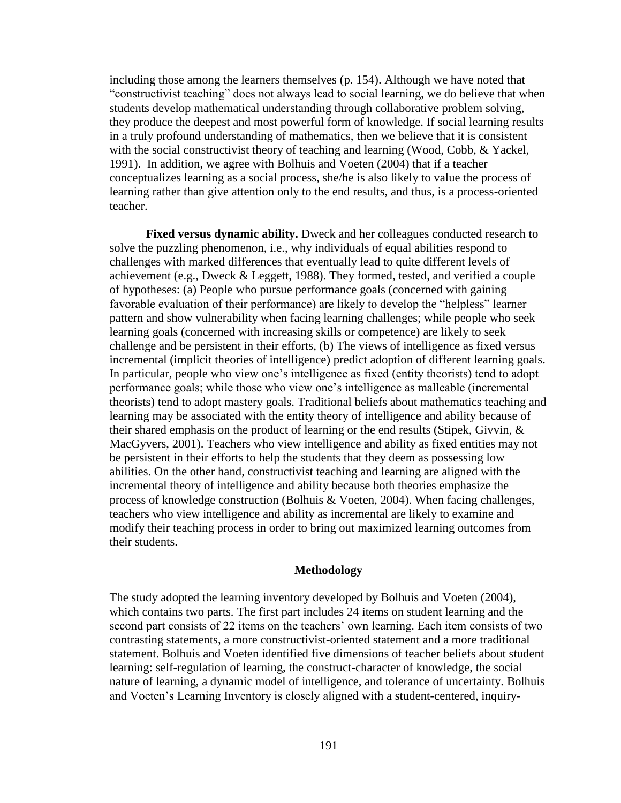including those among the learners themselves (p. 154). Although we have noted that "constructivist teaching" does not always lead to social learning, we do believe that when students develop mathematical understanding through collaborative problem solving, they produce the deepest and most powerful form of knowledge. If social learning results in a truly profound understanding of mathematics, then we believe that it is consistent with the social constructivist theory of teaching and learning (Wood, Cobb, & Yackel, 1991). In addition, we agree with Bolhuis and Voeten (2004) that if a teacher conceptualizes learning as a social process, she/he is also likely to value the process of learning rather than give attention only to the end results, and thus, is a process-oriented teacher.

**Fixed versus dynamic ability.** Dweck and her colleagues conducted research to solve the puzzling phenomenon, i.e., why individuals of equal abilities respond to challenges with marked differences that eventually lead to quite different levels of achievement (e.g., Dweck & Leggett, 1988). They formed, tested, and verified a couple of hypotheses: (a) People who pursue performance goals (concerned with gaining favorable evaluation of their performance) are likely to develop the "helpless" learner pattern and show vulnerability when facing learning challenges; while people who seek learning goals (concerned with increasing skills or competence) are likely to seek challenge and be persistent in their efforts, (b) The views of intelligence as fixed versus incremental (implicit theories of intelligence) predict adoption of different learning goals. In particular, people who view one's intelligence as fixed (entity theorists) tend to adopt performance goals; while those who view one's intelligence as malleable (incremental theorists) tend to adopt mastery goals. Traditional beliefs about mathematics teaching and learning may be associated with the entity theory of intelligence and ability because of their shared emphasis on the product of learning or the end results (Stipek, Givvin, & MacGyvers, 2001). Teachers who view intelligence and ability as fixed entities may not be persistent in their efforts to help the students that they deem as possessing low abilities. On the other hand, constructivist teaching and learning are aligned with the incremental theory of intelligence and ability because both theories emphasize the process of knowledge construction (Bolhuis & Voeten, 2004). When facing challenges, teachers who view intelligence and ability as incremental are likely to examine and modify their teaching process in order to bring out maximized learning outcomes from their students.

#### **Methodology**

The study adopted the learning inventory developed by Bolhuis and Voeten (2004), which contains two parts. The first part includes 24 items on student learning and the second part consists of 22 items on the teachers' own learning. Each item consists of two contrasting statements, a more constructivist-oriented statement and a more traditional statement. Bolhuis and Voeten identified five dimensions of teacher beliefs about student learning: self-regulation of learning, the construct-character of knowledge, the social nature of learning, a dynamic model of intelligence, and tolerance of uncertainty. Bolhuis and Voeten's Learning Inventory is closely aligned with a student-centered, inquiry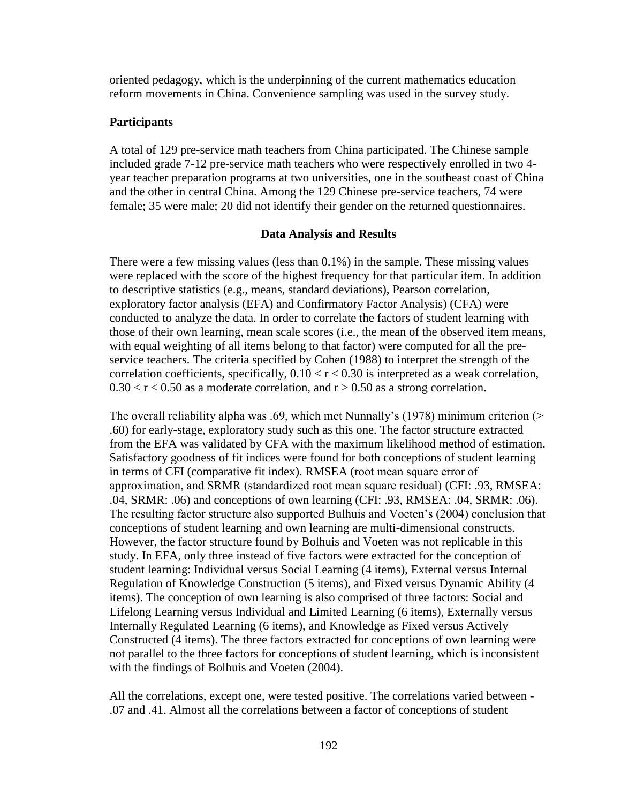oriented pedagogy, which is the underpinning of the current mathematics education reform movements in China. Convenience sampling was used in the survey study.

# **Participants**

A total of 129 pre-service math teachers from China participated. The Chinese sample included grade 7-12 pre-service math teachers who were respectively enrolled in two 4 year teacher preparation programs at two universities, one in the southeast coast of China and the other in central China. Among the 129 Chinese pre-service teachers, 74 were female; 35 were male; 20 did not identify their gender on the returned questionnaires.

## **Data Analysis and Results**

There were a few missing values (less than 0.1%) in the sample. These missing values were replaced with the score of the highest frequency for that particular item. In addition to descriptive statistics (e.g., means, standard deviations), Pearson correlation, exploratory factor analysis (EFA) and Confirmatory Factor Analysis) (CFA) were conducted to analyze the data. In order to correlate the factors of student learning with those of their own learning, mean scale scores (i.e., the mean of the observed item means, with equal weighting of all items belong to that factor) were computed for all the preservice teachers. The criteria specified by Cohen (1988) to interpret the strength of the correlation coefficients, specifically,  $0.10 < r < 0.30$  is interpreted as a weak correlation,  $0.30 < r < 0.50$  as a moderate correlation, and  $r > 0.50$  as a strong correlation.

The overall reliability alpha was .69, which met Nunnally's (1978) minimum criterion (> .60) for early-stage, exploratory study such as this one. The factor structure extracted from the EFA was validated by CFA with the maximum likelihood method of estimation. Satisfactory goodness of fit indices were found for both conceptions of student learning in terms of CFI (comparative fit index). RMSEA (root mean square error of approximation, and SRMR (standardized root mean square residual) (CFI: .93, RMSEA: .04, SRMR: .06) and conceptions of own learning (CFI: .93, RMSEA: .04, SRMR: .06). The resulting factor structure also supported Bulhuis and Voeten's (2004) conclusion that conceptions of student learning and own learning are multi-dimensional constructs. However, the factor structure found by Bolhuis and Voeten was not replicable in this study. In EFA, only three instead of five factors were extracted for the conception of student learning: Individual versus Social Learning (4 items), External versus Internal Regulation of Knowledge Construction (5 items), and Fixed versus Dynamic Ability (4 items). The conception of own learning is also comprised of three factors: Social and Lifelong Learning versus Individual and Limited Learning (6 items), Externally versus Internally Regulated Learning (6 items), and Knowledge as Fixed versus Actively Constructed (4 items). The three factors extracted for conceptions of own learning were not parallel to the three factors for conceptions of student learning, which is inconsistent with the findings of Bolhuis and Voeten (2004).

All the correlations, except one, were tested positive. The correlations varied between - .07 and .41. Almost all the correlations between a factor of conceptions of student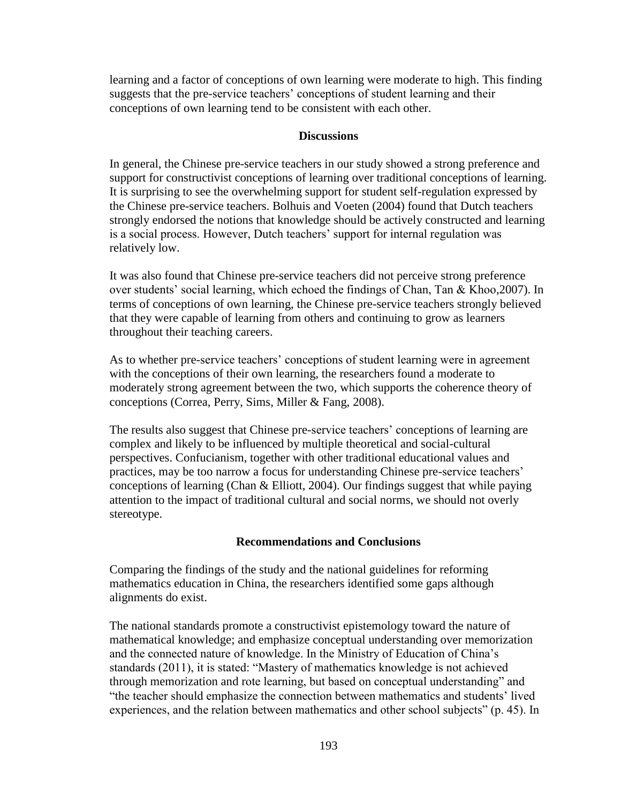learning and a factor of conceptions of own learning were moderate to high. This finding suggests that the pre-service teachers' conceptions of student learning and their conceptions of own learning tend to be consistent with each other.

# **Discussions**

In general, the Chinese pre-service teachers in our study showed a strong preference and support for constructivist conceptions of learning over traditional conceptions of learning. It is surprising to see the overwhelming support for student self-regulation expressed by the Chinese pre-service teachers. Bolhuis and Voeten (2004) found that Dutch teachers strongly endorsed the notions that knowledge should be actively constructed and learning is a social process. However, Dutch teachers' support for internal regulation was relatively low.

It was also found that Chinese pre-service teachers did not perceive strong preference over students' social learning, which echoed the findings of Chan, Tan & Khoo,2007). In terms of conceptions of own learning, the Chinese pre-service teachers strongly believed that they were capable of learning from others and continuing to grow as learners throughout their teaching careers.

As to whether pre-service teachers' conceptions of student learning were in agreement with the conceptions of their own learning, the researchers found a moderate to moderately strong agreement between the two, which supports the coherence theory of conceptions (Correa, Perry, Sims, Miller & Fang, 2008).

The results also suggest that Chinese pre-service teachers' conceptions of learning are complex and likely to be influenced by multiple theoretical and social-cultural perspectives. Confucianism, together with other traditional educational values and practices, may be too narrow a focus for understanding Chinese pre-service teachers' conceptions of learning (Chan & Elliott, 2004). Our findings suggest that while paying attention to the impact of traditional cultural and social norms, we should not overly stereotype.

# **Recommendations and Conclusions**

Comparing the findings of the study and the national guidelines for reforming mathematics education in China, the researchers identified some gaps although alignments do exist.

The national standards promote a constructivist epistemology toward the nature of mathematical knowledge; and emphasize conceptual understanding over memorization and the connected nature of knowledge. In the Ministry of Education of China's standards (2011), it is stated: "Mastery of mathematics knowledge is not achieved through memorization and rote learning, but based on conceptual understanding" and "the teacher should emphasize the connection between mathematics and students' lived experiences, and the relation between mathematics and other school subjects" (p. 45). In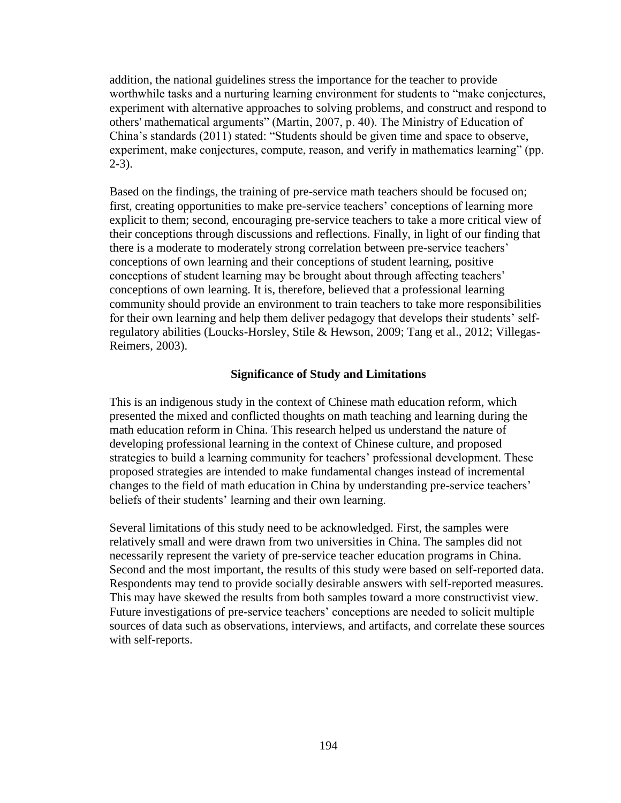addition, the national guidelines stress the importance for the teacher to provide worthwhile tasks and a nurturing learning environment for students to "make conjectures, experiment with alternative approaches to solving problems, and construct and respond to others' mathematical arguments" (Martin, 2007, p. 40). The Ministry of Education of China's standards (2011) stated: "Students should be given time and space to observe, experiment, make conjectures, compute, reason, and verify in mathematics learning" (pp.  $2-3)$ .

Based on the findings, the training of pre-service math teachers should be focused on; first, creating opportunities to make pre-service teachers' conceptions of learning more explicit to them; second, encouraging pre-service teachers to take a more critical view of their conceptions through discussions and reflections. Finally, in light of our finding that there is a moderate to moderately strong correlation between pre-service teachers' conceptions of own learning and their conceptions of student learning, positive conceptions of student learning may be brought about through affecting teachers' conceptions of own learning. It is, therefore, believed that a professional learning community should provide an environment to train teachers to take more responsibilities for their own learning and help them deliver pedagogy that develops their students' selfregulatory abilities (Loucks-Horsley, Stile & Hewson, 2009; Tang et al., 2012; Villegas-Reimers, 2003).

## **Significance of Study and Limitations**

This is an indigenous study in the context of Chinese math education reform, which presented the mixed and conflicted thoughts on math teaching and learning during the math education reform in China. This research helped us understand the nature of developing professional learning in the context of Chinese culture, and proposed strategies to build a learning community for teachers' professional development. These proposed strategies are intended to make fundamental changes instead of incremental changes to the field of math education in China by understanding pre-service teachers' beliefs of their students' learning and their own learning.

Several limitations of this study need to be acknowledged. First, the samples were relatively small and were drawn from two universities in China. The samples did not necessarily represent the variety of pre-service teacher education programs in China. Second and the most important, the results of this study were based on self-reported data. Respondents may tend to provide socially desirable answers with self-reported measures. This may have skewed the results from both samples toward a more constructivist view. Future investigations of pre-service teachers' conceptions are needed to solicit multiple sources of data such as observations, interviews, and artifacts, and correlate these sources with self-reports.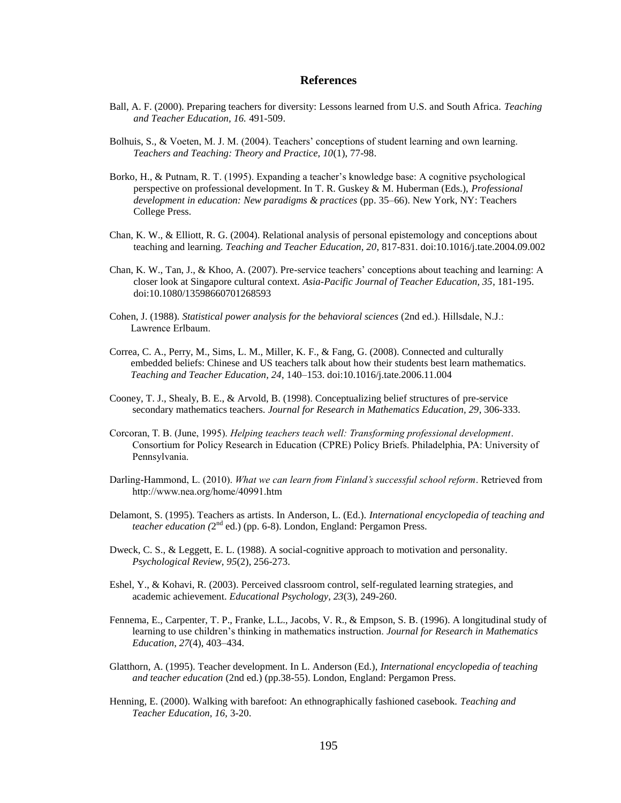#### **References**

- Ball, A. F. (2000). Preparing teachers for diversity: Lessons learned from U.S. and South Africa. *Teaching and Teacher Education, 16.* 491-509.
- Bolhuis, S., & Voeten, M. J. M. (2004). Teachers' conceptions of student learning and own learning. *Teachers and Teaching: Theory and Practice, 10*(1), 77-98.
- Borko, H., & Putnam, R. T. (1995). Expanding a teacher's knowledge base: A cognitive psychological perspective on professional development. In T. R. Guskey & M. Huberman (Eds.), *Professional development in education: New paradigms & practices* (pp. 35–66). New York, NY: Teachers College Press.
- Chan, K. W., & Elliott, R. G. (2004). Relational analysis of personal epistemology and conceptions about teaching and learning. *Teaching and Teacher Education, 20*, 817-831. doi:10.1016/j.tate.2004.09.002
- Chan, K. W., Tan, J., & Khoo, A. (2007). Pre-service teachers' conceptions about teaching and learning: A closer look at Singapore cultural context. *Asia-Pacific Journal of Teacher Education, 35*, 181-195. doi:10.1080/13598660701268593
- Cohen, J. (1988). *Statistical power analysis for the behavioral sciences* (2nd ed.). Hillsdale, N.J.: Lawrence Erlbaum.
- Correa, C. A., Perry, M., Sims, L. M., Miller, K. F., & Fang, G. (2008). Connected and culturally embedded beliefs: Chinese and US teachers talk about how their students best learn mathematics. *Teaching and Teacher Education, 24*, 140–153. doi:10.1016/j.tate.2006.11.004
- Cooney, T. J., Shealy, B. E., & Arvold, B. (1998). Conceptualizing belief structures of pre-service secondary mathematics teachers. *Journal for Research in Mathematics Education, 29*, 306-333.
- Corcoran, T. B. (June, 1995). *Helping teachers teach well: Transforming professional development*. Consortium for Policy Research in Education (CPRE) Policy Briefs. Philadelphia, PA: University of Pennsylvania.
- Darling-Hammond, L. (2010). *What we can learn from Finland's successful school reform*. Retrieved from http://www.nea.org/home/40991.htm
- Delamont, S. (1995). Teachers as artists. In Anderson, L. (Ed.). *International encyclopedia of teaching and teacher education* (2<sup>nd</sup> ed.) (pp. 6-8). London, England: Pergamon Press.
- Dweck, C. S., & Leggett, E. L. (1988). A social-cognitive approach to motivation and personality. *Psychological Review, 95*(2), 256-273.
- Eshel, Y., & Kohavi, R. (2003). Perceived classroom control, self-regulated learning strategies, and academic achievement. *Educational Psychology, 23*(3), 249-260.
- Fennema, E., Carpenter, T. P., Franke, L.L., Jacobs, V. R., & Empson, S. B. (1996). A longitudinal study of learning to use children's thinking in mathematics instruction. *Journal for Research in Mathematics Education*, *27*(4), 403–434.
- Glatthorn, A. (1995). Teacher development. In L. Anderson (Ed.), *International encyclopedia of teaching and teacher education* (2nd ed.) (pp.38-55). London, England: Pergamon Press.
- Henning, E. (2000). Walking with barefoot: An ethnographically fashioned casebook. *Teaching and Teacher Education, 16,* 3-20.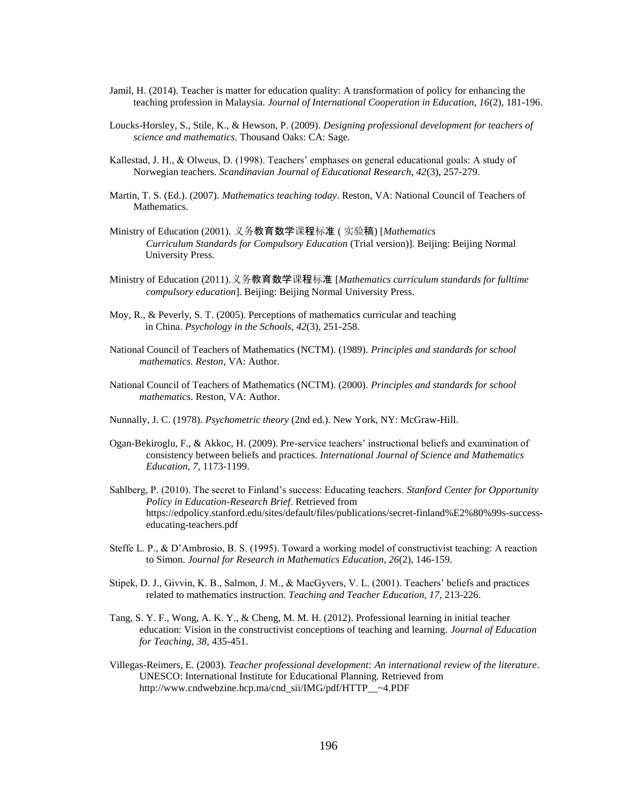- Jamil, H. (2014). Teacher is matter for education quality: A transformation of policy for enhancing the teaching profession in Malaysia. *Journal of International Cooperation in Education, 16*(2), 181-196.
- Loucks-Horsley, S., Stile, K., & Hewson, P. (2009). *Designing professional development for teachers of science and mathematics*. Thousand Oaks: CA: Sage.
- Kallestad, J. H., & Olweus, D. (1998). Teachers' emphases on general educational goals: A study of Norwegian teachers. *Scandinavian Journal of Educational Research, 42*(3), 257-279.
- Martin, T. S. (Ed.). (2007). *Mathematics teaching today*. Reston, VA: National Council of Teachers of Mathematics.
- Ministry of Education (2001). 义务教育数学课程标准 ( 实验稿) [*Mathematics Curriculum Standards for Compulsory Education* (Trial version)]. Beijing: Beijing Normal University Press.
- Ministry of Education (2011).义务教育数学课程标准 [*Mathematics curriculum standards for fulltime compulsory education*]. Beijing: Beijing Normal University Press.
- Moy, R., & Peverly, S. T. (2005). Perceptions of mathematics curricular and teaching in China. *Psychology in the Schools, 42*(3), 251-258.
- National Council of Teachers of Mathematics (NCTM). (1989). *Principles and standards for school mathematics. Reston*, VA: Author.
- National Council of Teachers of Mathematics (NCTM). (2000). *Principles and standards for school mathematics*. Reston, VA: Author.
- Nunnally, J. C. (1978). *Psychometric theory* (2nd ed.). New York, NY: McGraw-Hill.
- Ogan-Bekiroglu, F., & Akkoc, H. (2009). Pre-service teachers' instructional beliefs and examination of consistency between beliefs and practices. *International Journal of Science and Mathematics Education, 7*, 1173-1199.
- Sahlberg, P. (2010). The secret to Finland's success: Educating teachers. *Stanford Center for Opportunity Policy in Education-Research Brief*. Retrieved from https://edpolicy.stanford.edu/sites/default/files/publications/secret-finland%E2%80%99s-successeducating-teachers.pdf
- Steffe L. P., & D'Ambrosio, B. S. (1995). Toward a working model of constructivist teaching: A reaction to Simon. *Journal for Research in Mathematics Education, 26*(2), 146-159.
- Stipek, D. J., Givvin, K. B., Salmon, J. M., & MacGyvers, V. L. (2001). Teachers' beliefs and practices related to mathematics instruction. *Teaching and Teacher Education, 17*, 213-226.
- Tang, S. Y. F., Wong, A. K. Y., & Cheng, M. M. H. (2012). Professional learning in initial teacher education: Vision in the constructivist conceptions of teaching and learning. *Journal of Education for Teaching, 38*, 435-451.
- Villegas-Reimers, E. (2003). *Teacher professional development: An international review of the literature*. UNESCO: International Institute for Educational Planning. Retrieved from http://www.cndwebzine.hcp.ma/cnd\_sii/IMG/pdf/HTTP\_\_~4.PDF